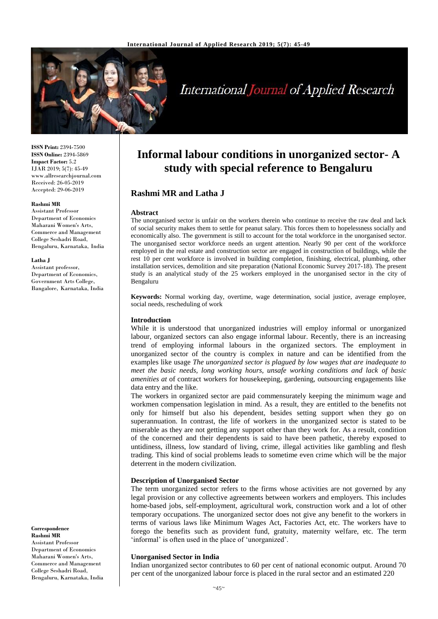

# **International Journal of Applied Research**

**ISSN Print:** 2394-7500 **ISSN Online:** 2394-5869 **Impact Factor:** 5.2 IJAR 2019; 5(7): 45-49 www.allresearchjournal.com Received: 26-05-2019 Accepted: 29-06-2019

### **Rashmi MR**

Assistant Professor Department of Economics Maharani Women's Arts, Commerce and Management College Seshadri Road, Bengaluru, Karnataka, India

#### **Latha J**

Assistant professor, Department of Economics, Government Arts College, Bangalore, Karnataka, India

#### **Correspondence Rashmi MR**

Assistant Professor Department of Economics Maharani Women's Arts, Commerce and Management College Seshadri Road, Bengaluru, Karnataka, India

# **Informal labour conditions in unorganized sector- A study with special reference to Bengaluru**

# **Rashmi MR and Latha J**

#### **Abstract**

The unorganised sector is unfair on the workers therein who continue to receive the raw deal and lack of social security makes them to settle for peanut salary. This forces them to hopelessness socially and economically also. The government is still to account for the total workforce in the unorganised sector. The unorganised sector workforce needs an urgent attention. Nearly 90 per cent of the workforce employed in the real estate and construction sector are engaged in construction of buildings, while the rest 10 per cent workforce is involved in building completion, finishing, electrical, plumbing, other installation services, demolition and site preparation (National Economic Survey 2017-18). The present study is an analytical study of the 25 workers employed in the unorganised sector in the city of Bengaluru

**Keywords:** Normal working day, overtime, wage determination, social justice, average employee, social needs, rescheduling of work

# **Introduction**

While it is understood that unorganized industries will employ informal or unorganized labour, organized sectors can also engage informal labour. Recently, there is an increasing trend of employing informal labours in the organized sectors. The employment in unorganized sector of the country is complex in nature and can be identified from the examples like usage *The unorganized sector is plagued by low wages that are inadequate to meet the basic needs, long working hours, unsafe working conditions and lack of basic amenities at* of contract workers for housekeeping, gardening, outsourcing engagements like data entry and the like.

The workers in organized sector are paid commensurately keeping the minimum wage and workmen compensation legislation in mind. As a result, they are entitled to the benefits not only for himself but also his dependent, besides setting support when they go on superannuation. In contrast, the life of workers in the unorganized sector is stated to be miserable as they are not getting any support other than they work for. As a result, condition of the concerned and their dependents is said to have been pathetic, thereby exposed to untidiness, illness, low standard of living, crime, illegal activities like gambling and flesh trading. This kind of social problems leads to sometime even crime which will be the major deterrent in the modern civilization.

### **Description of Unorganised Sector**

The term unorganized sector refers to the firms whose activities are not governed by any legal provision or any collective agreements between workers and employers. This includes home-based jobs, self-employment, agricultural work, construction work and a lot of other temporary occupations. The unorganized sector does not give any benefit to the workers in terms of various laws like Minimum Wages Act, Factories Act, etc. The workers have to forego the benefits such as provident fund, gratuity, maternity welfare, etc. The term 'informal' is often used in the place of 'unorganized'.

#### **Unorganised Sector in India**

Indian unorganized sector contributes to 60 per cent of national economic output. Around 70 per cent of the unorganized labour force is placed in the rural sector and an estimated 220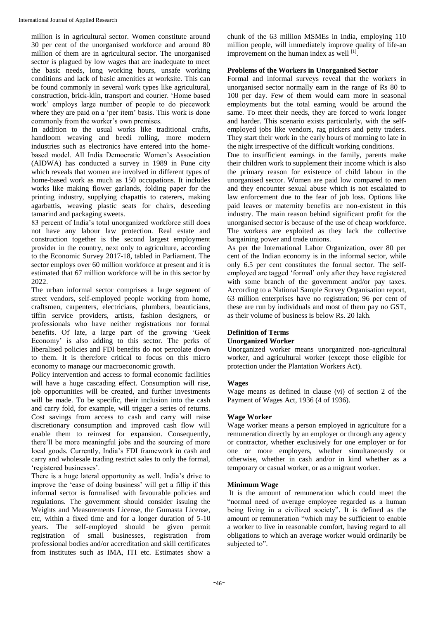million is in agricultural sector. Women constitute around 30 per cent of the unorganised workforce and around 80 million of them are in agricultural sector. The unorganised sector is plagued by low wages that are inadequate to meet the basic needs, long working hours, unsafe working conditions and lack of basic amenities at worksite. This can be found commonly in several work types like agricultural, construction, brick-kiln, transport and courier. 'Home based work' employs large number of people to do piecework where they are paid on a 'per item' basis. This work is done commonly from the worker's own premises.

In addition to the usual works like traditional crafts, handloom weaving and beedi rolling, more modern industries such as electronics have entered into the homebased model. All India Democratic Women's Association (AIDWA) has conducted a survey in 1989 in Pune city which reveals that women are involved in different types of home-based work as much as 150 occupations. It includes works like making flower garlands, folding paper for the printing industry, supplying chapattis to caterers, making agarbattis, weaving plastic seats for chairs, deseeding tamarind and packaging sweets.

83 percent of India's total unorganized workforce still does not have any labour law protection. Real estate and construction together is the second largest employment provider in the country, next only to agriculture, according to the Economic Survey 2017-18, tabled in Parliament. The sector employs over 60 million workforce at present and it is estimated that 67 million workforce will be in this sector by 2022

The urban informal sector comprises a large segment of street vendors, self-employed people working from home, craftsmen, carpenters, electricians, plumbers, beauticians, tiffin service providers, artists, fashion designers, or professionals who have neither registrations nor formal benefits. Of late, a large part of the growing 'Geek Economy' is also adding to this sector. The perks of liberalised policies and FDI benefits do not percolate down to them. It is therefore critical to focus on this micro economy to manage our macroeconomic growth.

Policy intervention and access to formal economic facilities will have a huge cascading effect. Consumption will rise, job opportunities will be created, and further investments will be made. To be specific, their inclusion into the cash and carry fold, for example, will trigger a series of returns. Cost savings from access to cash and carry will raise discretionary consumption and improved cash flow will enable them to reinvest for expansion. Consequently, there'll be more meaningful jobs and the sourcing of more local goods. Currently, India's FDI framework in cash and carry and wholesale trading restrict sales to only the formal, 'registered businesses'.

There is a huge lateral opportunity as well. India's drive to improve the 'ease of doing business' will get a fillip if this informal sector is formalised with favourable policies and regulations. The government should consider issuing the Weights and Measurements License, the Gumasta License, etc, within a fixed time and for a longer duration of 5-10 years. The self-employed should be given permit registration of small businesses, registration from professional bodies and/or accreditation and skill certificates from institutes such as IMA, ITI etc. Estimates show a chunk of the 63 million MSMEs in India, employing 110 million people, will immediately improve quality of life-an improvement on the human index as well [1].

# **Problems of the Workers in Unorganised Sector**

Formal and informal surveys reveal that the workers in unorganised sector normally earn in the range of Rs 80 to 100 per day. Few of them would earn more in seasonal employments but the total earning would be around the same. To meet their needs, they are forced to work longer and harder. This scenario exists particularly, with the selfemployed jobs like vendors, rag pickers and petty traders. They start their work in the early hours of morning to late in the night irrespective of the difficult working conditions.

Due to insufficient earnings in the family, parents make their children work to supplement their income which is also the primary reason for existence of child labour in the unorganised sector. Women are paid low compared to men and they encounter sexual abuse which is not escalated to law enforcement due to the fear of job loss. Options like paid leaves or maternity benefits are non-existent in this industry. The main reason behind significant profit for the unorganised sector is because of the use of cheap workforce. The workers are exploited as they lack the collective bargaining power and trade unions.

As per the International Labor Organization, over 80 per cent of the Indian economy is in the informal sector, while only 6.5 per cent constitutes the formal sector. The selfemployed are tagged 'formal' only after they have registered with some branch of the government and/or pay taxes. According to a National Sample Survey Organisation report, 63 million enterprises have no registration; 96 per cent of these are run by individuals and most of them pay no GST, as their volume of business is below Rs. 20 lakh.

# **Definition of Terms Unorganized Worker**

Unorganized worker means unorganized non-agricultural worker, and agricultural worker (except those eligible for protection under the Plantation Workers Act).

# **Wages**

Wage means as defined in clause (vi) of section 2 of the Payment of Wages Act, 1936 (4 of 1936).

# **Wage Worker**

Wage worker means a person employed in agriculture for a remuneration directly by an employer or through any agency or contractor, whether exclusively for one employer or for one or more employers, whether simultaneously or otherwise, whether in cash and/or in kind whether as a temporary or casual worker, or as a migrant worker.

# **Minimum Wage**

It is the amount of remuneration which could meet the "normal need of average employee regarded as a human being living in a civilized society". It is defined as the amount or remuneration "which may be sufficient to enable a worker to live in reasonable comfort, having regard to all obligations to which an average worker would ordinarily be subjected to".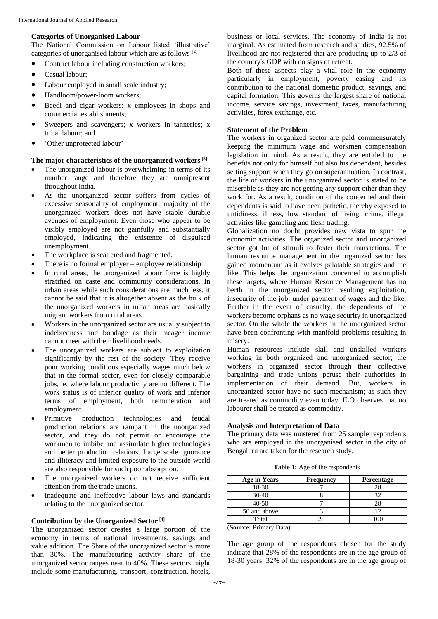# **Categories of Unorganised Labour**

The National Commission on Labour listed 'illustrative' categories of unorganised labour which are as follows [2]

- Contract labour including construction workers;
- Casual labour:
- Labour employed in small scale industry;
- Handloom/power-loom workers;
- Beedi and cigar workers: x employees in shops and commercial establishments;
- Sweepers and scavengers; x workers in tanneries; x tribal labour; and
- 'Other unprotected labour'

# **The major characteristics of the unorganized workers[3]**

- The unorganized labour is overwhelming in terms of its number range and therefore they are omnipresent throughout India.
- As the unorganized sector suffers from cycles of excessive seasonality of employment, majority of the unorganized workers does not have stable durable avenues of employment. Even those who appear to be visibly employed are not gainfully and substantially employed, indicating the existence of disguised unemployment.
- The workplace is scattered and fragmented.
- There is no formal employer employee relationship
- In rural areas, the unorganized labour force is highly stratified on caste and community considerations. In urban areas while such considerations are much less, it cannot be said that it is altogether absent as the bulk of the unorganized workers in urban areas are basically migrant workers from rural areas.
- Workers in the unorganized sector are usually subject to indebtedness and bondage as their meager income cannot meet with their livelihood needs.
- The unorganized workers are subject to exploitation significantly by the rest of the society. They receive poor working conditions especially wages much below that in the formal sector, even for closely comparable jobs, ie, where labour productivity are no different. The work status is of inferior quality of work and inferior terms of employment, both remuneration and employment.
- Primitive production technologies and feudal production relations are rampant in the unorganized sector, and they do not permit or encourage the workmen to imbibe and assimilate higher technologies and better production relations. Large scale ignorance and illiteracy and limited exposure to the outside world are also responsible for such poor absorption.
- The unorganized workers do not receive sufficient attention from the trade unions.
- Inadequate and ineffective labour laws and standards relating to the unorganized sector.

# **Contribution by the Unorganized Sector [4]**

The unorganized sector creates a large portion of the economy in terms of national investments, savings and value addition. The Share of the unorganized sector is more than 30%. The manufacturing activity share of the unorganized sector ranges near to 40%. These sectors might include some manufacturing, transport, construction, hotels,

business or local services. The economy of India is not marginal. As estimated from research and studies, 92.5% of livelihood are not registered that are producing up to 2/3 of the country's GDP with no signs of retreat.

Both of these aspects play a vital role in the economy particularly in employment, poverty easing and its contribution to the national domestic product, savings, and capital formation. This governs the largest share of national income, service savings, investment, taxes, manufacturing activities, forex exchange, etc.

# **Statement of the Problem**

The workers in organized sector are paid commensurately keeping the minimum wage and workmen compensation legislation in mind. As a result, they are entitled to the benefits not only for himself but also his dependent, besides setting support when they go on superannuation. In contrast, the life of workers in the unorganized sector is stated to be miserable as they are not getting any support other than they work for. As a result, condition of the concerned and their dependents is said to have been pathetic, thereby exposed to untidiness, illness, low standard of living, crime, illegal activities like gambling and flesh trading.

Globalization no doubt provides new vista to spur the economic activities. The organized sector and unorganized sector got lot of stimuli to foster their transactions. The human resource management in the organized sector has gained momentum as it evolves palatable strategies and the like. This helps the organization concerned to accomplish these targets, where Human Resource Management has no berth in the unorganized sector resulting exploitation, insecurity of the job, under payment of wages and the like. Further in the event of casualty, the dependents of the workers become orphans as no wage security in unorganized sector. On the whole the workers in the unorganized sector have been confronting with manifold problems resulting in misery.

Human resources include skill and unskilled workers working in both organized and unorganized sector; the workers in organized sector through their collective bargaining and trade unions peruse their authorities in implementation of their demand. But, workers in unorganized sector have no such mechanism; as such they are treated as commodity even today. ILO observes that no labourer shall be treated as commodity.

# **Analysis and Interpretation of Data**

The primary data was mustered from 25 sample respondents who are employed in the unorganised sector in the city of Bengaluru are taken for the research study.

**Table 1:** Age of the respondents

| <b>Frequency</b> | Percentage |
|------------------|------------|
|                  | 28         |
|                  | 37         |
|                  | 28         |
|                  |            |
|                  |            |
|                  |            |

(**Source:** Primary Data)

The age group of the respondents chosen for the study indicate that 28% of the respondents are in the age group of 18-30 years. 32% of the respondents are in the age group of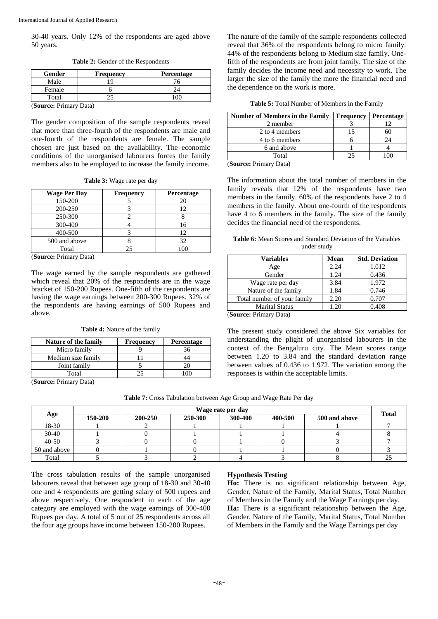30-40 years. Only 12% of the respondents are aged above 50 years.

| Gender                   | <b>Frequency</b> | <b>Percentage</b> |
|--------------------------|------------------|-------------------|
| Male                     |                  |                   |
| Female                   |                  |                   |
| Total                    |                  |                   |
| $\sim$<br>$\mathbf{r}$ . | $\blacksquare$   |                   |

**Table 2:** Gender of the Respondents

(**Source:** Primary Data)

The gender composition of the sample respondents reveal that more than three-fourth of the respondents are male and one-fourth of the respondents are female. The sample chosen are just based on the availability. The economic conditions of the unorganised labourers forces the family members also to be employed to increase the family income.

**Table 3:** Wage rate per day

| <b>Frequency</b> | Percentage |
|------------------|------------|
|                  |            |
|                  |            |
|                  |            |
|                  | 16         |
|                  |            |
|                  | 32         |
| 25               | 100        |
|                  |            |

(**Source:** Primary Data)

The wage earned by the sample respondents are gathered which reveal that 20% of the respondents are in the wage bracket of 150-200 Rupees. One-fifth of the respondents are having the wage earnings between 200-300 Rupees. 32% of the respondents are having earnings of 500 Rupees and above.

**Table 4:** Nature of the family

| <b>Frequency</b> | Percentage |
|------------------|------------|
|                  |            |
|                  |            |
|                  |            |
|                  |            |
|                  |            |

(**Source:** Primary Data)

**Table 7:** Cross Tabulation between Age Group and Wage Rate Per day

|              | Wage rate per day |         |         |         |         |               |              |
|--------------|-------------------|---------|---------|---------|---------|---------------|--------------|
| Age          | 150-200           | 200-250 | 250-300 | 300-400 | 400-500 | 500 and above | <b>Total</b> |
| 18-30        |                   |         |         |         |         |               |              |
| $30 - 40$    |                   |         |         |         |         |               |              |
| $40 - 50$    |                   |         |         |         |         |               |              |
| 50 and above |                   |         |         |         |         |               |              |
| Total        |                   |         |         |         |         |               |              |

The cross tabulation results of the sample unorganised labourers reveal that between age group of 18-30 and 30-40 one and 4 respondents are getting salary of 500 rupees and above respectively. One respondent in each of the age category are employed with the wage earnings of 300-400 Rupees per day. A total of 5 out of 25 respondents across all the four age groups have income between 150-200 Rupees.

# **Hypothesis Testing**

**Ho:** There is no significant relationship between Age, Gender, Nature of the Family, Marital Status, Total Number of Members in the Family and the Wage Earnings per day. **Ha:** There is a significant relationship between the Age, Gender, Nature of the Family, Marital Status, Total Number of Members in the Family and the Wage Earnings per day

The nature of the family of the sample respondents collected reveal that 36% of the respondents belong to micro family. 44% of the respondents belong to Medium size family. Onefifth of the respondents are from joint family. The size of the family decides the income need and necessity to work. The larger the size of the family the more the financial need and the dependence on the work is more.

| <b>Number of Members in the Family</b> | <b>Frequency</b> | <b>Percentage</b> |
|----------------------------------------|------------------|-------------------|
| 2 member                               |                  |                   |
| 2 to 4 members                         |                  | 60                |
| 4 to 6 members                         |                  | 24                |
| 6 and above                            |                  |                   |
| Total                                  |                  |                   |
| $(\mathbf{C}_1, \dots, \mathbf{C}_n)$  |                  |                   |

(**Source:** Primary Data)

The information about the total number of members in the family reveals that 12% of the respondents have two members in the family. 60% of the respondents have 2 to 4 members in the family. About one-fourth of the respondents have 4 to 6 members in the family. The size of the family decides the financial need of the respondents.

**Table 6:** Mean Scores and Standard Deviation of the Variables under study

| Mean | <b>Std. Deviation</b> |
|------|-----------------------|
| 2.24 | 1.012                 |
| 1.24 | 0.436                 |
| 3.84 | 1.972                 |
| 1.84 | 0.746                 |
| 2.20 | 0.707                 |
| 1.20 | 0.408                 |
|      |                       |

(**Source:** Primary Data)

The present study considered the above Six variables for understanding the plight of unorganised labourers in the context of the Bengaluru city. The Mean scores range between 1.20 to 3.84 and the standard deviation range between values of 0.436 to 1.972. The variation among the responses is within the acceptable limits.